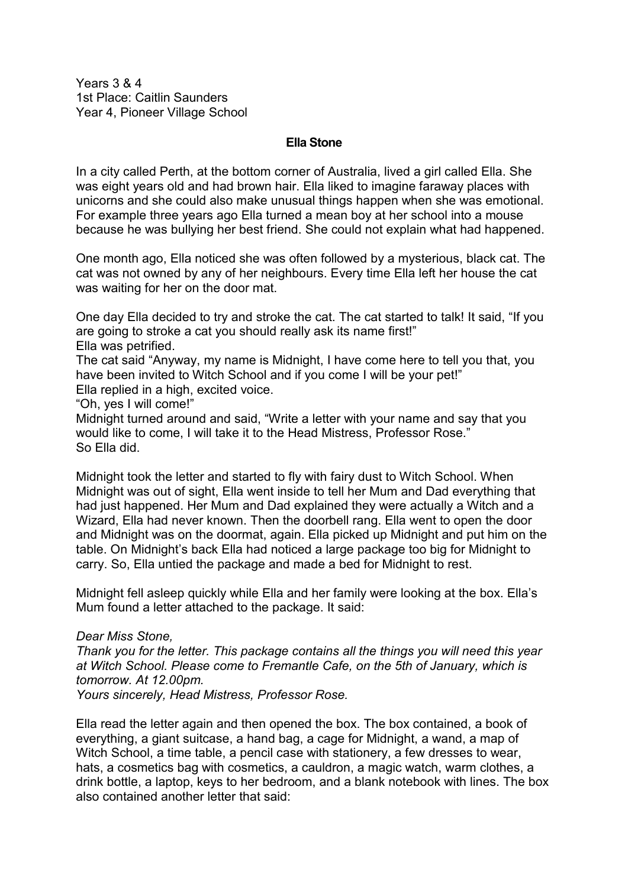Years 3 & 4 1st Place: Caitlin Saunders Year 4, Pioneer Village School

## **Ella Stone**

In a city called Perth, at the bottom corner of Australia, lived a girl called Ella. She was eight years old and had brown hair. Ella liked to imagine faraway places with unicorns and she could also make unusual things happen when she was emotional. For example three years ago Ella turned a mean boy at her school into a mouse because he was bullying her best friend. She could not explain what had happened.

One month ago, Ella noticed she was often followed by a mysterious, black cat. The cat was not owned by any of her neighbours. Every time Ella left her house the cat was waiting for her on the door mat.

One day Ella decided to try and stroke the cat. The cat started to talk! It said, "If you are going to stroke a cat you should really ask its name first!" Ella was petrified.

The cat said "Anyway, my name is Midnight, I have come here to tell you that, you have been invited to Witch School and if you come I will be your pet!" Ella replied in a high, excited voice.

"Oh, yes I will come!"

Midnight turned around and said, "Write a letter with your name and say that you would like to come, I will take it to the Head Mistress, Professor Rose." So Ella did.

Midnight took the letter and started to fly with fairy dust to Witch School. When Midnight was out of sight, Ella went inside to tell her Mum and Dad everything that had just happened. Her Mum and Dad explained they were actually a Witch and a Wizard, Ella had never known. Then the doorbell rang. Ella went to open the door and Midnight was on the doormat, again. Ella picked up Midnight and put him on the table. On Midnight's back Ella had noticed a large package too big for Midnight to carry. So, Ella untied the package and made a bed for Midnight to rest.

Midnight fell asleep quickly while Ella and her family were looking at the box. Ella's Mum found a letter attached to the package. It said:

## *Dear Miss Stone,*

*Thank you for the letter. This package contains all the things you will need this year at Witch School. Please come to Fremantle Cafe, on the 5th of January, which is tomorrow. At 12.00pm.*

*Yours sincerely, Head Mistress, Professor Rose.*

Ella read the letter again and then opened the box. The box contained, a book of everything, a giant suitcase, a hand bag, a cage for Midnight, a wand, a map of Witch School, a time table, a pencil case with stationery, a few dresses to wear, hats, a cosmetics bag with cosmetics, a cauldron, a magic watch, warm clothes, a drink bottle, a laptop, keys to her bedroom, and a blank notebook with lines. The box also contained another letter that said: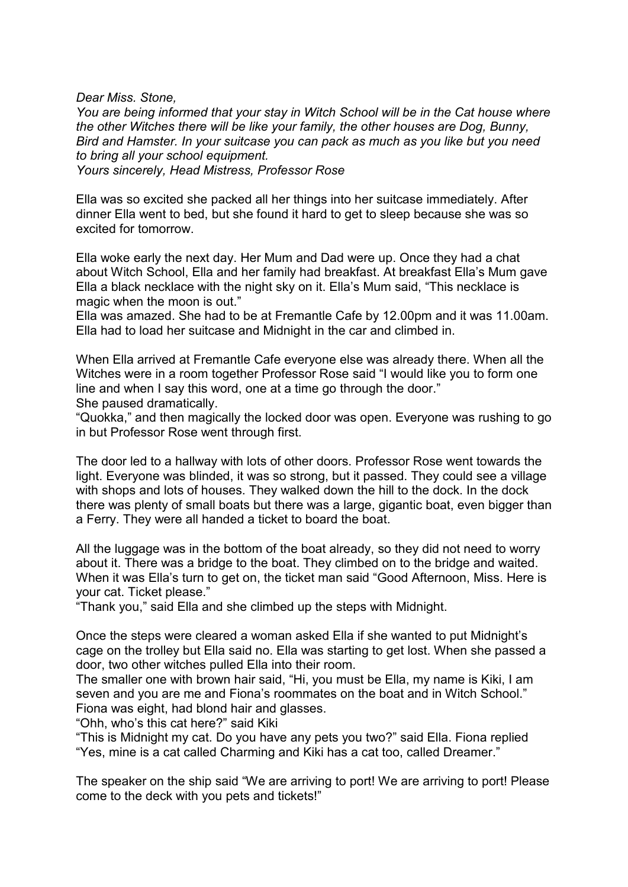*Dear Miss. Stone,*

*You are being informed that your stay in Witch School will be in the Cat house where the other Witches there will be like your family, the other houses are Dog, Bunny, Bird and Hamster. In your suitcase you can pack as much as you like but you need to bring all your school equipment.*

*Yours sincerely, Head Mistress, Professor Rose*

Ella was so excited she packed all her things into her suitcase immediately. After dinner Ella went to bed, but she found it hard to get to sleep because she was so excited for tomorrow.

Ella woke early the next day. Her Mum and Dad were up. Once they had a chat about Witch School, Ella and her family had breakfast. At breakfast Ella's Mum gave Ella a black necklace with the night sky on it. Ella's Mum said, "This necklace is magic when the moon is out."

Ella was amazed. She had to be at Fremantle Cafe by 12.00pm and it was 11.00am. Ella had to load her suitcase and Midnight in the car and climbed in.

When Ella arrived at Fremantle Cafe everyone else was already there. When all the Witches were in a room together Professor Rose said "I would like you to form one line and when I say this word, one at a time go through the door." She paused dramatically.

"Quokka," and then magically the locked door was open. Everyone was rushing to go in but Professor Rose went through first.

The door led to a hallway with lots of other doors. Professor Rose went towards the light. Everyone was blinded, it was so strong, but it passed. They could see a village with shops and lots of houses. They walked down the hill to the dock. In the dock there was plenty of small boats but there was a large, gigantic boat, even bigger than a Ferry. They were all handed a ticket to board the boat.

All the luggage was in the bottom of the boat already, so they did not need to worry about it. There was a bridge to the boat. They climbed on to the bridge and waited. When it was Ella's turn to get on, the ticket man said "Good Afternoon, Miss. Here is your cat. Ticket please."

"Thank you," said Ella and she climbed up the steps with Midnight.

Once the steps were cleared a woman asked Ella if she wanted to put Midnight's cage on the trolley but Ella said no. Ella was starting to get lost. When she passed a door, two other witches pulled Ella into their room.

The smaller one with brown hair said, "Hi, you must be Ella, my name is Kiki, I am seven and you are me and Fiona's roommates on the boat and in Witch School." Fiona was eight, had blond hair and glasses.

"Ohh, who's this cat here?" said Kiki

"This is Midnight my cat. Do you have any pets you two?" said Ella. Fiona replied "Yes, mine is a cat called Charming and Kiki has a cat too, called Dreamer."

The speaker on the ship said "We are arriving to port! We are arriving to port! Please come to the deck with you pets and tickets!"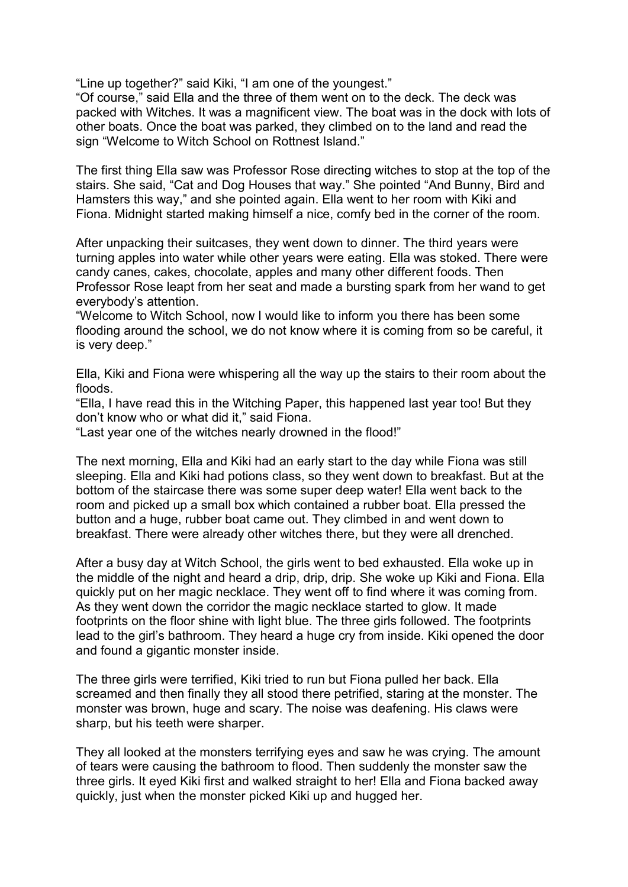"Line up together?" said Kiki, "I am one of the youngest."

"Of course," said Ella and the three of them went on to the deck. The deck was packed with Witches. It was a magnificent view. The boat was in the dock with lots of other boats. Once the boat was parked, they climbed on to the land and read the sign "Welcome to Witch School on Rottnest Island."

The first thing Ella saw was Professor Rose directing witches to stop at the top of the stairs. She said, "Cat and Dog Houses that way." She pointed "And Bunny, Bird and Hamsters this way," and she pointed again. Ella went to her room with Kiki and Fiona. Midnight started making himself a nice, comfy bed in the corner of the room.

After unpacking their suitcases, they went down to dinner. The third years were turning apples into water while other years were eating. Ella was stoked. There were candy canes, cakes, chocolate, apples and many other different foods. Then Professor Rose leapt from her seat and made a bursting spark from her wand to get everybody's attention.

"Welcome to Witch School, now I would like to inform you there has been some flooding around the school, we do not know where it is coming from so be careful, it is very deep."

Ella, Kiki and Fiona were whispering all the way up the stairs to their room about the floods.

"Ella, I have read this in the Witching Paper, this happened last year too! But they don't know who or what did it," said Fiona.

"Last year one of the witches nearly drowned in the flood!"

The next morning, Ella and Kiki had an early start to the day while Fiona was still sleeping. Ella and Kiki had potions class, so they went down to breakfast. But at the bottom of the staircase there was some super deep water! Ella went back to the room and picked up a small box which contained a rubber boat. Ella pressed the button and a huge, rubber boat came out. They climbed in and went down to breakfast. There were already other witches there, but they were all drenched.

After a busy day at Witch School, the girls went to bed exhausted. Ella woke up in the middle of the night and heard a drip, drip, drip. She woke up Kiki and Fiona. Ella quickly put on her magic necklace. They went off to find where it was coming from. As they went down the corridor the magic necklace started to glow. It made footprints on the floor shine with light blue. The three girls followed. The footprints lead to the girl's bathroom. They heard a huge cry from inside. Kiki opened the door and found a gigantic monster inside.

The three girls were terrified, Kiki tried to run but Fiona pulled her back. Ella screamed and then finally they all stood there petrified, staring at the monster. The monster was brown, huge and scary. The noise was deafening. His claws were sharp, but his teeth were sharper.

They all looked at the monsters terrifying eyes and saw he was crying. The amount of tears were causing the bathroom to flood. Then suddenly the monster saw the three girls. It eyed Kiki first and walked straight to her! Ella and Fiona backed away quickly, just when the monster picked Kiki up and hugged her.